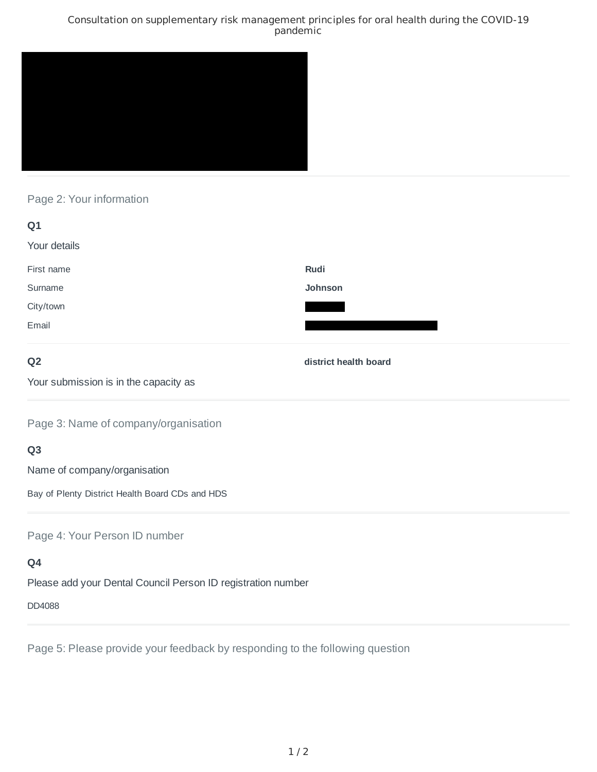#### Consultation on supplementary risk management principles for oral health during the COVID-19 pandemic



## Page 2: Your information

| Q1           |         |
|--------------|---------|
| Your details |         |
| First name   | Rudi    |
| Surname      | Johnson |
| City/town    |         |
| Email        |         |
|              |         |

### **Q2**

**district health board**

Your submission is in the capacity as

Page 3: Name of company/organisation

# **Q3**

Name of company/organisation

Bay of Plenty District Health Board CDs and HDS

Page 4: Your Person ID number

# **Q4**

Please add your Dental Council Person ID registration number

#### DD4088

Page 5: Please provide your feedback by responding to the following question